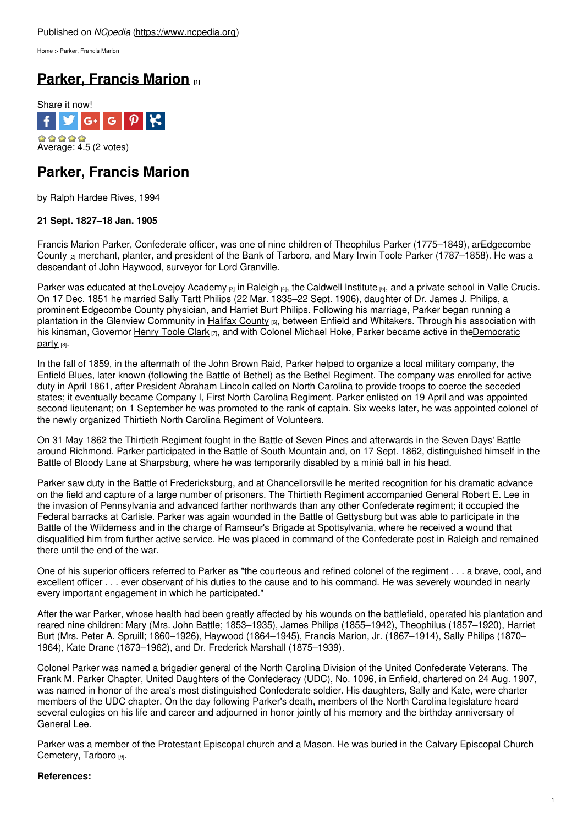[Home](https://www.ncpedia.org/) > Parker, Francis Marion

# **Parker, [Francis](https://www.ncpedia.org/biography/parker-francis-marion) Marion [1]**



## **Parker, Francis Marion**

by Ralph Hardee Rives, 1994

### **21 Sept. 1827–18 Jan. 1905**

Francis Marion Parker, Confederate officer, was one of nine children of Theophilus Parker (1775–1849), [anEdgecombe](https://www.ncpedia.org/geography/edgecombe) County <sub>[2]</sub> merchant, planter, and president of the Bank of Tarboro, and Mary Irwin Toole Parker (1787–1858). He was a descendant of John Haywood, surveyor for Lord [Granville](http://www.social9.com).

Parker was educated at the Lovejoy [Academy](https://www.ncpedia.org/lovejoy-academy) [3] in [Raleigh](https://ncpedia.org/gazetteer/search/Raleigh/0) [4], the [Caldwell](https://www.ncpedia.org/caldwell-institute) Institute [5], and a private school in Valle Crucis. On 17 Dec. 1851 he married Sally Tartt Philips (22 Mar. 1835–22 Sept. 1906), daughter of Dr. James J. Philips, a prominent Edgecombe County physician, and Harriet Burt Philips. Following his marriage, Parker began running a plantation in the Glenview Community in Halifax [County](https://www.ncpedia.org/geography/halifax) [6], between Enfield and Whitakers. Through his association with his kinsman, Governor [Henry](https://www.ncpedia.org/biography/clark-henry-toole) Toole Clark <sub>[7]</sub>, and with Colonel Michael Hoke, Parker became active in [theDemocratic](http:) party [8].

In the fall of 1859, in the aftermath of the John Brown Raid, Parker helped to organize a local military company, the Enfield Blues, later known (following the Battle of Bethel) as the Bethel Regiment. The company was enrolled for active duty in April 1861, after President Abraham Lincoln called on North Carolina to provide troops to coerce the seceded states; it eventually became Company I, First North Carolina Regiment. Parker enlisted on 19 April and was appointed second lieutenant; on 1 September he was promoted to the rank of captain. Six weeks later, he was appointed colonel of the newly organized Thirtieth North Carolina Regiment of Volunteers.

On 31 May 1862 the Thirtieth Regiment fought in the Battle of Seven Pines and afterwards in the Seven Days' Battle around Richmond. Parker participated in the Battle of South Mountain and, on 17 Sept. 1862, distinguished himself in the Battle of Bloody Lane at Sharpsburg, where he was temporarily disabled by a minié ball in his head.

Parker saw duty in the Battle of Fredericksburg, and at Chancellorsville he merited recognition for his dramatic advance on the field and capture of a large number of prisoners. The Thirtieth Regiment accompanied General Robert E. Lee in the invasion of Pennsylvania and advanced farther northwards than any other Confederate regiment; it occupied the Federal barracks at Carlisle. Parker was again wounded in the Battle of Gettysburg but was able to participate in the Battle of the Wilderness and in the charge of Ramseur's Brigade at Spottsylvania, where he received a wound that disqualified him from further active service. He was placed in command of the Confederate post in Raleigh and remained there until the end of the war.

One of his superior officers referred to Parker as "the courteous and refined colonel of the regiment . . . a brave, cool, and excellent officer . . . ever observant of his duties to the cause and to his command. He was severely wounded in nearly every important engagement in which he participated."

After the war Parker, whose health had been greatly affected by his wounds on the battlefield, operated his plantation and reared nine children: Mary (Mrs. John Battle; 1853–1935), James Philips (1855–1942), Theophilus (1857–1920), Harriet Burt (Mrs. Peter A. Spruill; 1860–1926), Haywood (1864–1945), Francis Marion, Jr. (1867–1914), Sally Philips (1870– 1964), Kate Drane (1873–1962), and Dr. Frederick Marshall (1875–1939).

Colonel Parker was named a brigadier general of the North Carolina Division of the United Confederate Veterans. The Frank M. Parker Chapter, United Daughters of the Confederacy (UDC), No. 1096, in Enfield, chartered on 24 Aug. 1907, was named in honor of the area's most distinguished Confederate soldier. His daughters, Sally and Kate, were charter members of the UDC chapter. On the day following Parker's death, members of the North Carolina legislature heard several eulogies on his life and career and adjourned in honor jointly of his memory and the birthday anniversary of General Lee.

Parker was a member of the Protestant Episcopal church and a Mason. He was buried in the Calvary Episcopal Church Cemetery, [Tarboro](https://ncpedia.org/gazetteer/search/Tarboro/0) [9].

### **References:**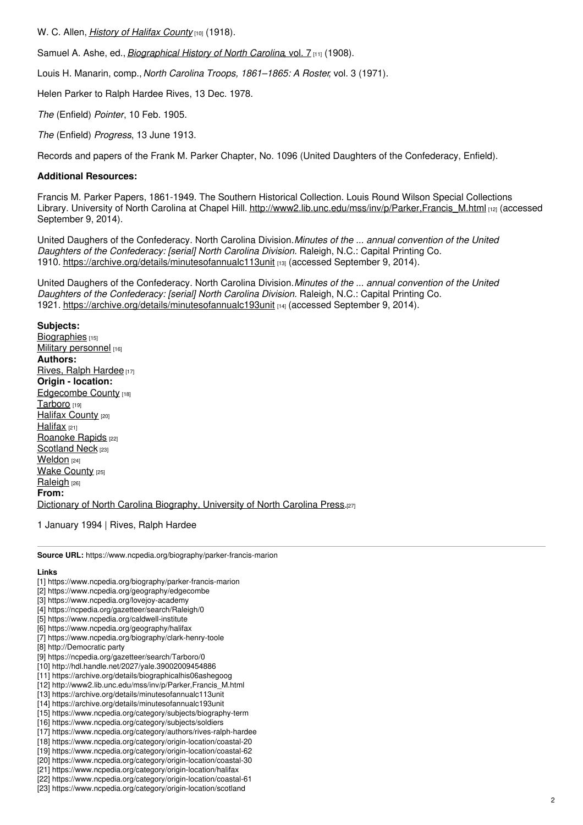W. C. Allen, *History of Halifax [County](http://hdl.handle.net/2027/yale.39002009454886)* [10] (1918).

Samuel A. Ashe, ed., *[Biographical](https://archive.org/details/biographicalhis06ashegoog) History of North Carolina*, vol. 7 [11] (1908).

Louis H. Manarin, comp., *North Carolina Troops, 1861–1865: A Roster*, vol. 3 (1971).

Helen Parker to Ralph Hardee Rives, 13 Dec. 1978.

*The* (Enfield) *Pointer*, 10 Feb. 1905.

*The* (Enfield) *Progress*, 13 June 1913.

Records and papers of the Frank M. Parker Chapter, No. 1096 (United Daughters of the Confederacy, Enfield).

#### **Additional Resources:**

Francis M. Parker Papers, 1861-1949. The Southern Historical Collection. Louis Round Wilson Special Collections Library. University of North Carolina at Chapel Hill. [http://www2.lib.unc.edu/mss/inv/p/Parker,Francis\\_M.html](http://www2.lib.unc.edu/mss/inv/p/Parker,Francis_M.html) [12] (accessed September 9, 2014).

United Daughers of the Confederacy. North Carolina Division.*Minutes of the ... annual convention of the United Daughters of the Confederacy: [serial] North Carolina Division.* Raleigh, N.C.: Capital Printing Co. 1910. <https://archive.org/details/minutesofannualc113unit> [13] (accessed September 9, 2014).

United Daughers of the Confederacy. North Carolina Division.*Minutes of the ... annual convention of the United Daughters of the Confederacy: [serial] North Carolina Division.* Raleigh, N.C.: Capital Printing Co. 1921. <https://archive.org/details/minutesofannualc193unit> [14] (accessed September 9, 2014).

**Subjects:** [Biographies](https://www.ncpedia.org/category/subjects/biography-term) [15] Military [personnel](https://www.ncpedia.org/category/subjects/soldiers) [16] **Authors:** Rives, Ralph [Hardee](https://www.ncpedia.org/category/authors/rives-ralph-hardee) [17] **Origin - location:** [Edgecombe](https://www.ncpedia.org/category/origin-location/coastal-20) County [18] [Tarboro](https://www.ncpedia.org/category/origin-location/coastal-62) [19] Halifax [County](https://www.ncpedia.org/category/origin-location/coastal-30) [20] [Halifax](https://www.ncpedia.org/category/origin-location/halifax)  $[21]$ [Roanoke](https://www.ncpedia.org/category/origin-location/coastal-61) Rapids [22] [Scotland](https://www.ncpedia.org/category/origin-location/scotland) Neck [23] [Weldon](https://www.ncpedia.org/category/origin-location/weldon) [24] **Wake [County](https://www.ncpedia.org/category/origin-location/piedmont/w) [25]** [Raleigh](https://www.ncpedia.org/category/origin-location/piedmont-0) [26] **From:** Dictionary of North Carolina [Biography,](https://www.ncpedia.org/category/entry-source/dictionary-no) University of North Carolina Press.[27]

1 January 1994 | Rives, Ralph Hardee

**Source URL:** https://www.ncpedia.org/biography/parker-francis-marion

#### **Links**

- [1] https://www.ncpedia.org/biography/parker-francis-marion
- [2] https://www.ncpedia.org/geography/edgecombe
- [3] https://www.ncpedia.org/lovejoy-academy
- [4] https://ncpedia.org/gazetteer/search/Raleigh/0
- [5] https://www.ncpedia.org/caldwell-institute
- [6] https://www.ncpedia.org/geography/halifax
- [7] https://www.ncpedia.org/biography/clark-henry-toole
- [8] http://Democratic party
- [9] https://ncpedia.org/gazetteer/search/Tarboro/0
- [10] http://hdl.handle.net/2027/yale.39002009454886
- [11] https://archive.org/details/biographicalhis06ashegoog
- [12] http://www2.lib.unc.edu/mss/inv/p/Parker,Francis\_M.html
- [13] https://archive.org/details/minutesofannualc113unit
- [14] https://archive.org/details/minutesofannualc193unit
- [15] https://www.ncpedia.org/category/subjects/biography-term
- [16] https://www.ncpedia.org/category/subjects/soldiers
- [17] https://www.ncpedia.org/category/authors/rives-ralph-hardee
- [18] https://www.ncpedia.org/category/origin-location/coastal-20
- [19] https://www.ncpedia.org/category/origin-location/coastal-62
- [20] https://www.ncpedia.org/category/origin-location/coastal-30
- [21] https://www.ncpedia.org/category/origin-location/halifax [22] https://www.ncpedia.org/category/origin-location/coastal-61
- 
- [23] https://www.ncpedia.org/category/origin-location/scotland